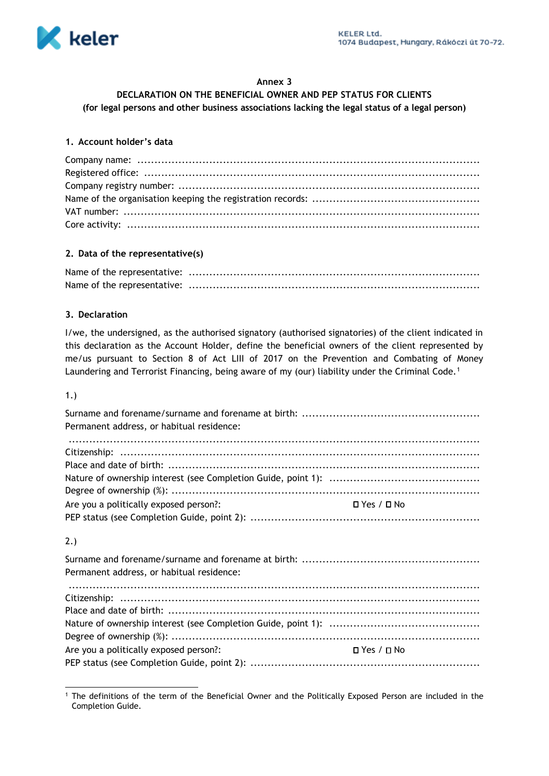

### **Annex 3**

### **DECLARATION ON THE BENEFICIAL OWNER AND PEP STATUS FOR CLIENTS**

**(for legal persons and other business associations lacking the legal status of a legal person)**

### **1. Account holder's data**

### **2. Data of the representative(s)**

## **3. Declaration**

I/we, the undersigned, as the authorised signatory (authorised signatories) of the client indicated in this declaration as the Account Holder, define the beneficial owners of the client represented by me/us pursuant to Section 8 of Act LIII of 2017 on the Prevention and Combating of Money Laundering and Terrorist Financing, being aware of my (our) liability under the Criminal Code.<sup>1</sup>

#### 1.)

| Permanent address, or habitual residence: |                              |  |
|-------------------------------------------|------------------------------|--|
|                                           |                              |  |
|                                           |                              |  |
|                                           |                              |  |
|                                           |                              |  |
|                                           |                              |  |
| Are you a politically exposed person?:    | $\Box$ Yes / $\Box$ No       |  |
|                                           |                              |  |
|                                           |                              |  |
| 2.)                                       |                              |  |
|                                           |                              |  |
| Permanent address, or habitual residence: |                              |  |
|                                           |                              |  |
|                                           |                              |  |
|                                           |                              |  |
|                                           |                              |  |
|                                           |                              |  |
| Are you a politically exposed person?:    | $\square$ Yes / $\square$ No |  |
|                                           |                              |  |

<sup>1</sup> The definitions of the term of the Beneficial Owner and the Politically Exposed Person are included in the Completion Guide.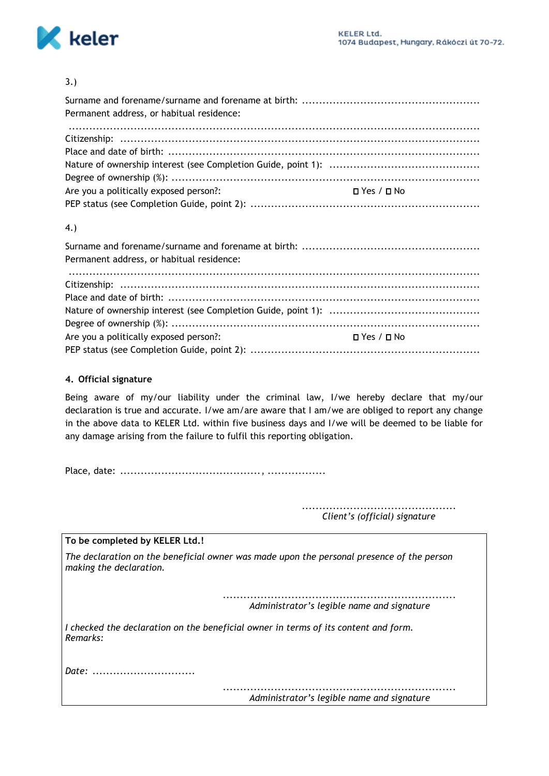

## 3.)

| Permanent address, or habitual residence:                        |  |
|------------------------------------------------------------------|--|
|                                                                  |  |
|                                                                  |  |
|                                                                  |  |
|                                                                  |  |
|                                                                  |  |
| Are you a politically exposed person?:<br>$\Box$ Yes / $\Box$ No |  |
|                                                                  |  |

## 4.)

| Permanent address, or habitual residence: |              |  |
|-------------------------------------------|--------------|--|
|                                           |              |  |
|                                           |              |  |
|                                           |              |  |
|                                           |              |  |
|                                           |              |  |
| Are you a politically exposed person?:    | ⊔ Yes / □ No |  |
|                                           |              |  |

## **4. Official signature**

Being aware of my/our liability under the criminal law, I/we hereby declare that my/our declaration is true and accurate. I/we am/are aware that I am/we are obliged to report any change in the above data to KELER Ltd. within five business days and I/we will be deemed to be liable for any damage arising from the failure to fulfil this reporting obligation.

Place, date: ........................................., .................

............................................. *Client's (official) signature*

## **To be completed by KELER Ltd.!**

*The declaration on the beneficial owner was made upon the personal presence of the person making the declaration.*

> *.................................................................... Administrator's legible name and signature*

*I checked the declaration on the beneficial owner in terms of its content and form. Remarks:*

*Date: ..............................*

*.................................................................... Administrator's legible name and signature*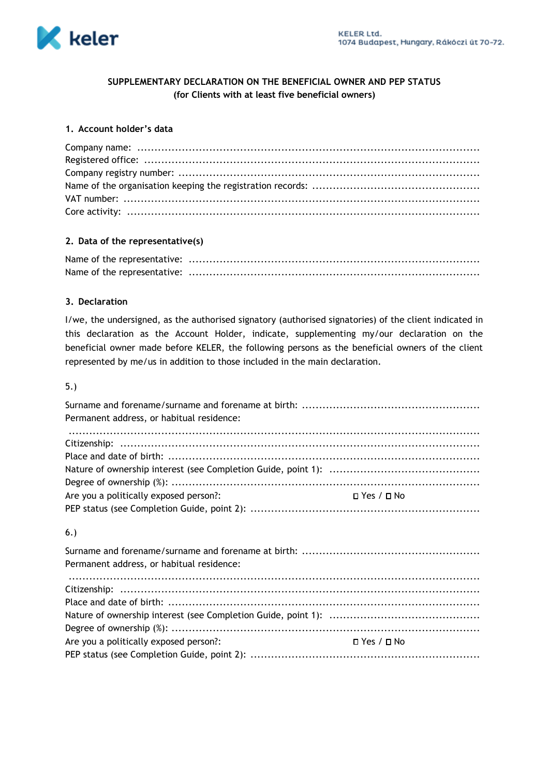

## **SUPPLEMENTARY DECLARATION ON THE BENEFICIAL OWNER AND PEP STATUS (for Clients with at least five beneficial owners)**

# **1. Account holder's data**

### **2. Data of the representative(s)**

## **3. Declaration**

I/we, the undersigned, as the authorised signatory (authorised signatories) of the client indicated in this declaration as the Account Holder, indicate, supplementing my/our declaration on the beneficial owner made before KELER, the following persons as the beneficial owners of the client represented by me/us in addition to those included in the main declaration.

### 5.)

| Permanent address, or habitual residence: |                        |
|-------------------------------------------|------------------------|
|                                           |                        |
|                                           |                        |
|                                           |                        |
|                                           |                        |
| Are you a politically exposed person?:    | $\Box$ Yes / $\Box$ No |
|                                           |                        |
|                                           |                        |

### 6.)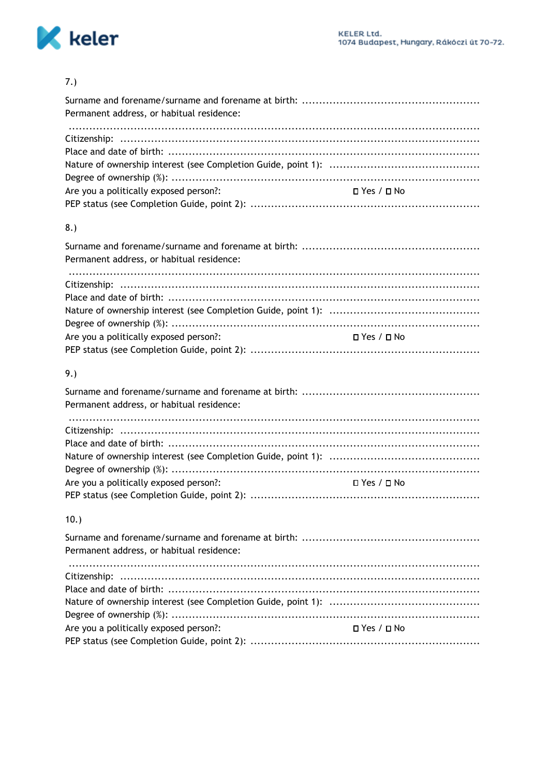

## $7.)$

| Permanent address, or habitual residence: |                        |
|-------------------------------------------|------------------------|
|                                           |                        |
|                                           |                        |
|                                           |                        |
|                                           |                        |
| Are you a politically exposed person?:    | D Yes / D No           |
|                                           |                        |
| 8.                                        |                        |
| Permanent address, or habitual residence: |                        |
|                                           |                        |
|                                           |                        |
|                                           |                        |
|                                           |                        |
| Are you a politically exposed person?:    | $\Box$ Yes / $\Box$ No |
|                                           |                        |
| 9.                                        |                        |
|                                           |                        |
| Permanent address, or habitual residence: |                        |
|                                           |                        |
|                                           |                        |
|                                           |                        |
|                                           |                        |
| Are you a politically exposed person?:    | $\Box$ Yes / $\Box$ No |

## $10.$

| Permanent address, or habitual residence:                                    |  |
|------------------------------------------------------------------------------|--|
|                                                                              |  |
|                                                                              |  |
|                                                                              |  |
|                                                                              |  |
| Are you a politically exposed person?:<br><b>Example 2</b> Yes / <b>C</b> No |  |
|                                                                              |  |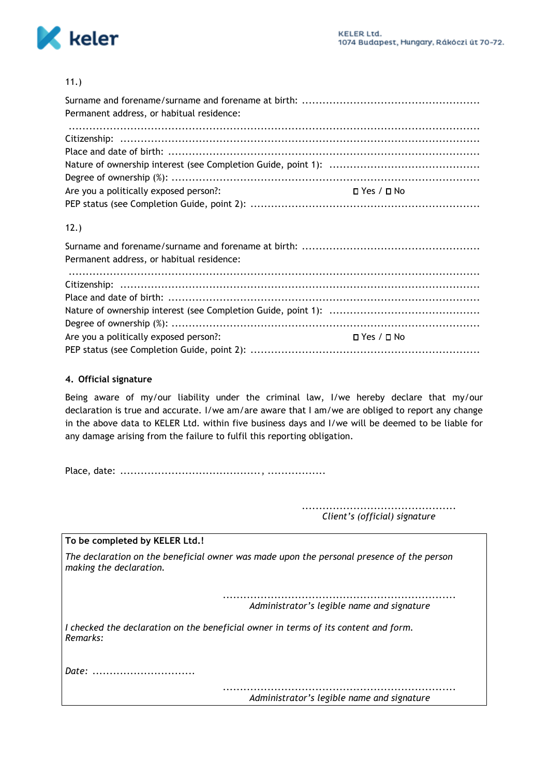

## 11.)

| Permanent address, or habitual residence:                        |  |
|------------------------------------------------------------------|--|
|                                                                  |  |
|                                                                  |  |
|                                                                  |  |
|                                                                  |  |
|                                                                  |  |
| Are you a politically exposed person?:<br>$\Box$ Yes / $\Box$ No |  |
|                                                                  |  |

## 12.)

| Permanent address, or habitual residence: |              |
|-------------------------------------------|--------------|
|                                           |              |
|                                           |              |
|                                           |              |
|                                           |              |
|                                           |              |
| Are you a politically exposed person?:    | ⊔ Yes / □ No |
|                                           |              |

## **4. Official signature**

Being aware of my/our liability under the criminal law, I/we hereby declare that my/our declaration is true and accurate. I/we am/are aware that I am/we are obliged to report any change in the above data to KELER Ltd. within five business days and I/we will be deemed to be liable for any damage arising from the failure to fulfil this reporting obligation.

Place, date: ........................................., .................

............................................. *Client's (official) signature*

**To be completed by KELER Ltd.!**

*The declaration on the beneficial owner was made upon the personal presence of the person making the declaration.*

> *.................................................................... Administrator's legible name and signature*

*I checked the declaration on the beneficial owner in terms of its content and form. Remarks:*

*Date: ..............................*

*.................................................................... Administrator's legible name and signature*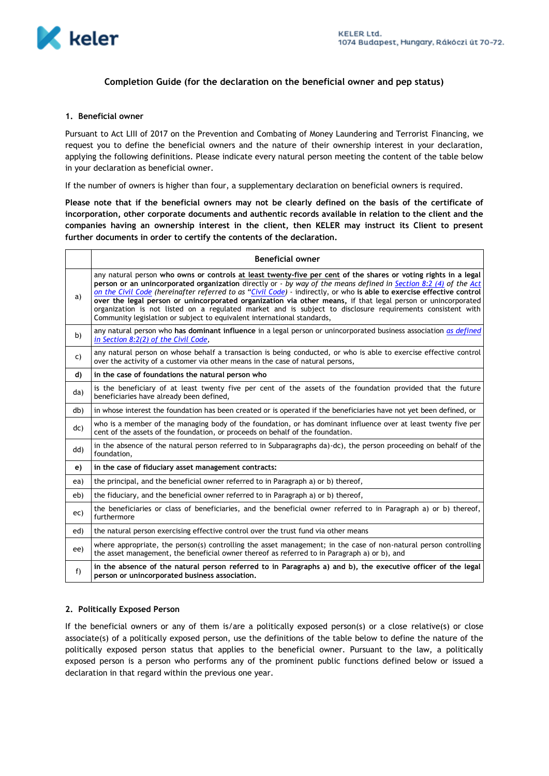

#### **Completion Guide (for the declaration on the beneficial owner and pep status)**

#### **1. Beneficial owner**

Pursuant to Act LIII of 2017 on the Prevention and Combating of Money Laundering and Terrorist Financing, we request you to define the beneficial owners and the nature of their ownership interest in your declaration, applying the following definitions. Please indicate every natural person meeting the content of the table below in your declaration as beneficial owner.

If the number of owners is higher than four, a supplementary declaration on beneficial owners is required.

**Please note that if the beneficial owners may not be clearly defined on the basis of the certificate of incorporation, other corporate documents and authentic records available in relation to the client and the companies having an ownership interest in the client, then KELER may instruct its Client to present further documents in order to certify the contents of the declaration.**

|     | <b>Beneficial owner</b>                                                                                                                                                                                                                                                                                                                                                                                                                                                                                                                                                                                                                                               |
|-----|-----------------------------------------------------------------------------------------------------------------------------------------------------------------------------------------------------------------------------------------------------------------------------------------------------------------------------------------------------------------------------------------------------------------------------------------------------------------------------------------------------------------------------------------------------------------------------------------------------------------------------------------------------------------------|
| a)  | any natural person who owns or controls at least twenty-five per cent of the shares or voting rights in a legal<br>person or an unincorporated organization directly or - by way of the means defined in Section 8:2 (4) of the Act<br>on the Civil Code (hereinafter referred to as "Civil Code) - indirectly, or who is able to exercise effective control<br>over the legal person or unincorporated organization via other means, if that legal person or unincorporated<br>organization is not listed on a regulated market and is subject to disclosure requirements consistent with<br>Community legislation or subject to equivalent international standards, |
| b)  | any natural person who has dominant influence in a legal person or unincorporated business association as defined<br>in Section 8:2(2) of the Civil Code,                                                                                                                                                                                                                                                                                                                                                                                                                                                                                                             |
| C)  | any natural person on whose behalf a transaction is being conducted, or who is able to exercise effective control<br>over the activity of a customer via other means in the case of natural persons,                                                                                                                                                                                                                                                                                                                                                                                                                                                                  |
| d)  | in the case of foundations the natural person who                                                                                                                                                                                                                                                                                                                                                                                                                                                                                                                                                                                                                     |
| da) | is the beneficiary of at least twenty five per cent of the assets of the foundation provided that the future<br>beneficiaries have already been defined,                                                                                                                                                                                                                                                                                                                                                                                                                                                                                                              |
| db) | in whose interest the foundation has been created or is operated if the beneficiaries have not yet been defined, or                                                                                                                                                                                                                                                                                                                                                                                                                                                                                                                                                   |
| dc) | who is a member of the managing body of the foundation, or has dominant influence over at least twenty five per<br>cent of the assets of the foundation, or proceeds on behalf of the foundation.                                                                                                                                                                                                                                                                                                                                                                                                                                                                     |
| dd) | in the absence of the natural person referred to in Subparagraphs da)-dc), the person proceeding on behalf of the<br>foundation,                                                                                                                                                                                                                                                                                                                                                                                                                                                                                                                                      |
| e)  | in the case of fiduciary asset management contracts:                                                                                                                                                                                                                                                                                                                                                                                                                                                                                                                                                                                                                  |
| ea) | the principal, and the beneficial owner referred to in Paragraph a) or b) thereof,                                                                                                                                                                                                                                                                                                                                                                                                                                                                                                                                                                                    |
| eb) | the fiduciary, and the beneficial owner referred to in Paragraph a) or b) thereof,                                                                                                                                                                                                                                                                                                                                                                                                                                                                                                                                                                                    |
| ec) | the beneficiaries or class of beneficiaries, and the beneficial owner referred to in Paragraph a) or b) thereof,<br>furthermore                                                                                                                                                                                                                                                                                                                                                                                                                                                                                                                                       |
| ed) | the natural person exercising effective control over the trust fund via other means                                                                                                                                                                                                                                                                                                                                                                                                                                                                                                                                                                                   |
| ee) | where appropriate, the person(s) controlling the asset management; in the case of non-natural person controlling<br>the asset management, the beneficial owner thereof as referred to in Paragraph a) or b), and                                                                                                                                                                                                                                                                                                                                                                                                                                                      |
| f)  | in the absence of the natural person referred to in Paragraphs a) and b), the executive officer of the legal<br>person or unincorporated business association,                                                                                                                                                                                                                                                                                                                                                                                                                                                                                                        |

#### **2. Politically Exposed Person**

If the beneficial owners or any of them is/are a politically exposed person(s) or a close relative(s) or close associate(s) of a politically exposed person, use the definitions of the table below to define the nature of the politically exposed person status that applies to the beneficial owner. Pursuant to the law, a politically exposed person is a person who performs any of the prominent public functions defined below or issued a declaration in that regard within the previous one year.